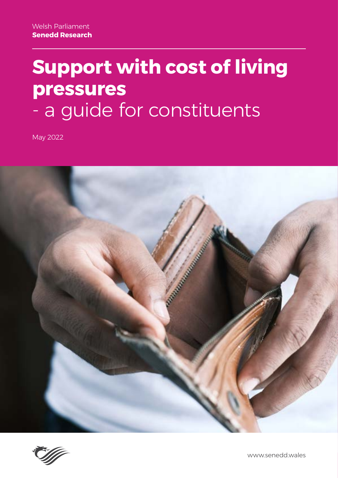# **Support with cost of living pressures** - a guide for constituents

May 2022





www.senedd.wales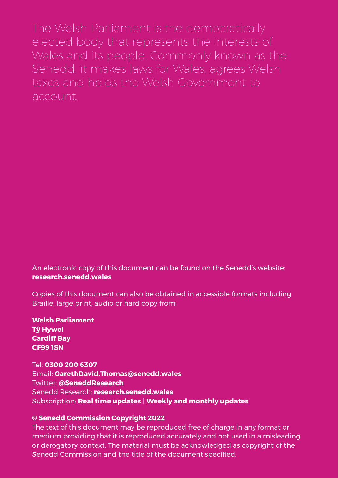The Welsh Parliament is the democratically elected body that represents the interests of Wales and its people. Commonly known as the Senedd, it makes laws for Wales, agrees Welsh taxes and holds the Welsh Government to account.

An electronic copy of this document can be found on the Senedd's website: **[research.senedd.wales](http://research.senedd.wales/)**

Copies of this document can also be obtained in accessible formats including Braille, large print, audio or hard copy from:

**Welsh Parliament Tŷ Hywel Cardiff Bay CF99 1SN**

Tel: **0300 200 6307** Email: **GarethDavid.Thomas[@senedd.wales](mailto:Lorna.Scurlock%40senedd.wales?subject=)** Twitter: **@SeneddResearch** Senedd Research: **[research.senedd.wales](http://research.senedd.wales)** Subscription: **[Real time updates](https://wales.us7.list-manage.com/subscribe?u=c1bfed8f41f5ed4565339ac18&id=31a6ddb873)** | **Weekly and monthly updates**

#### **© Senedd Commission Copyright 2022**

The text of this document may be reproduced free of charge in any format or medium providing that it is reproduced accurately and not used in a misleading or derogatory context. The material must be acknowledged as copyright of the Senedd Commission and the title of the document specified.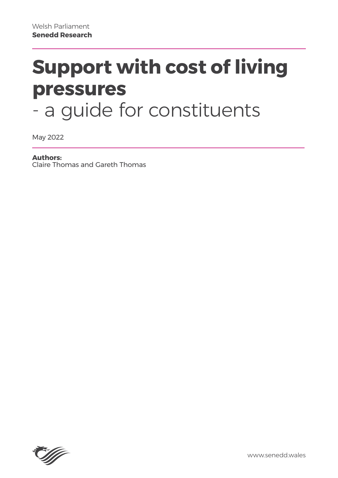# **Support with cost of living pressures** - a guide for constituents

May 2022

#### **Authors:**

Claire Thomas and Gareth Thomas

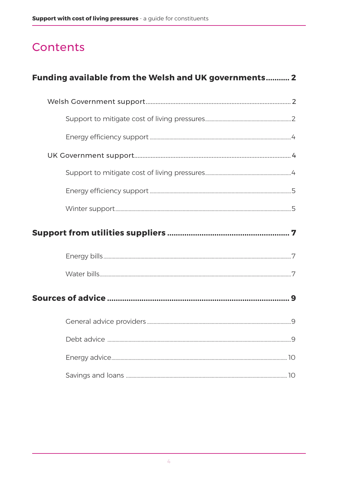# Contents

| Funding available from the Welsh and UK governments 2 |  |
|-------------------------------------------------------|--|
|                                                       |  |
|                                                       |  |
|                                                       |  |
|                                                       |  |
|                                                       |  |
|                                                       |  |
|                                                       |  |
|                                                       |  |
|                                                       |  |
|                                                       |  |
|                                                       |  |
|                                                       |  |
|                                                       |  |
|                                                       |  |
|                                                       |  |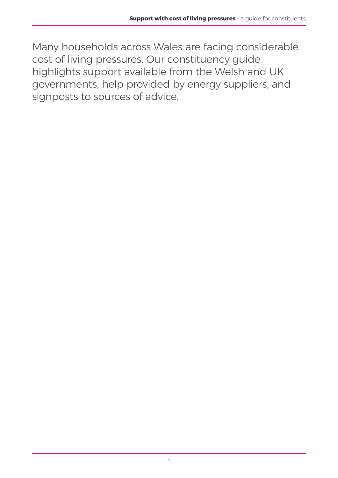Many households across Wales are facing considerable cost of living pressures. Our constituency guide highlights support available from the Welsh and UK governments, help provided by energy suppliers, and signposts to sources of advice.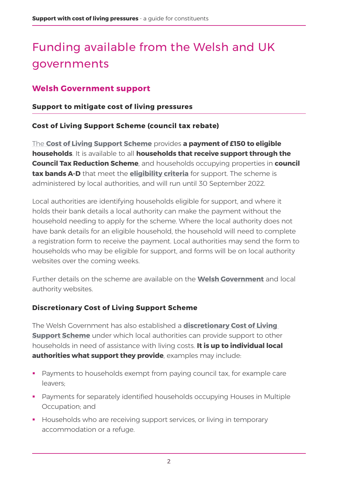# <span id="page-6-0"></span>Funding available from the Welsh and UK governments

# **Welsh Government support**

#### **Support to mitigate cost of living pressures**

#### **Cost of Living Support Scheme (council tax rebate)**

The **[Cost of Living Support Scheme](https://gov.wales/cost-living-support-scheme-guide-local-authorities-html)** provides **a payment of £150 to eligible households**. It is available to all **households that receive support through the Council Tax Reduction Scheme**, and households occupying properties in **council tax bands A-D** that meet the **[eligibility criteria](https://gov.wales/cost-living-support-scheme-guide-local-authorities-html)** for support. The scheme is administered by local authorities, and will run until 30 September 2022.

Local authorities are identifying households eligible for support, and where it holds their bank details a local authority can make the payment without the household needing to apply for the scheme. Where the local authority does not have bank details for an eligible household, the household will need to complete a registration form to receive the payment. Local authorities may send the form to households who may be eligible for support, and forms will be on local authority websites over the coming weeks.

Further details on the scheme are available on the **[Welsh Government](https://gov.wales/cost-living-support-scheme-guide-local-authorities-html)** and local authority websites.

#### **Discretionary Cost of Living Support Scheme**

The Welsh Government has also established a **discretionary Cost of Living Support Scheme** under which local authorities can provide support to other households in need of assistance with living costs. **It is up to individual local authorities what support they provide**, examples may include:

- **Payments to households exempt from paying council tax, for example care** leavers;
- Payments for separately identified households occupying Houses in Multiple Occupation; and
- **Households who are receiving support services, or living in temporary** accommodation or a refuge.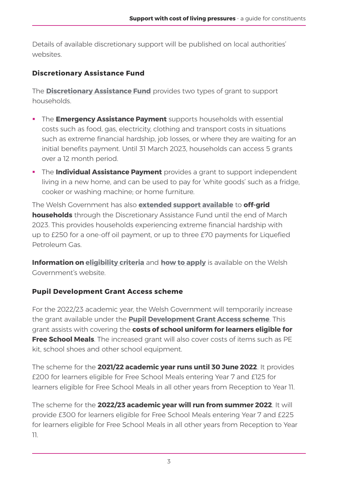Details of available discretionary support will be published on local authorities' websites.

# **Discretionary Assistance Fund**

The **[Discretionary Assistance Fund](https://gov.wales/discretionary-assistance-fund-daf)** provides two types of grant to support households.

- **The Emergency Assistance Payment** supports households with essential costs such as food, gas, electricity, clothing and transport costs in situations such as extreme financial hardship, job losses, or where they are waiting for an initial benefits payment. Until 31 March 2023, households can access 5 grants over a 12 month period.
- **The Individual Assistance Payment** provides a grant to support independent living in a new home, and can be used to pay for 'white goods' such as a fridge, cooker or washing machine; or home furniture.

The Welsh Government has also **[extended support available](https://gov.wales/written-statement-welsh-government-support-through-cost-living-crisis)** to **off-grid households** through the Discretionary Assistance Fund until the end of March 2023. This provides households experiencing extreme financial hardship with up to £250 for a one-off oil payment, or up to three £70 payments for Liquefied Petroleum Gas.

**Information on [eligibility criteria](https://gov.wales/discretionary-assistance-fund-daf/eligibility)** and **[how to apply](https://gov.wales/discretionary-assistance-fund-daf/how-apply)** is available on the Welsh Government's website.

# **Pupil Development Grant Access scheme**

For the 2022/23 academic year, the Welsh Government will temporarily increase the grant available under the **[Pupil Development Grant Access scheme](https://gov.wales/pupil-development-grant-access)**. This grant assists with covering the **costs of school uniform for learners eligible for Free School Meals**. The increased grant will also cover costs of items such as PE kit, school shoes and other school equipment.

The scheme for the **2021/22 academic year runs until 30 June 2022**. It provides £200 for learners eligible for Free School Meals entering Year 7 and £125 for learners eligible for Free School Meals in all other years from Reception to Year 11.

The scheme for the **2022/23 academic year will run from summer 2022**. It will provide £300 for learners eligible for Free School Meals entering Year 7 and £225 for learners eligible for Free School Meals in all other years from Reception to Year 11.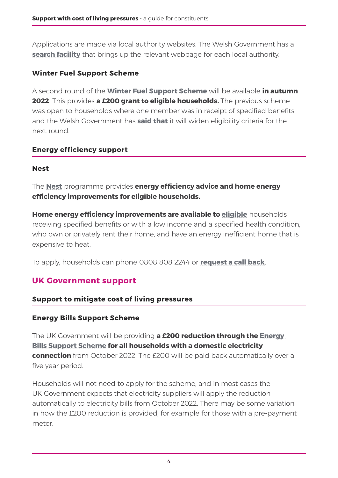<span id="page-8-0"></span>Applications are made via local authority websites. The Welsh Government has a **[search facility](https://gov.wales/pupil-development-grant-access)** that brings up the relevant webpage for each local authority.

# **Winter Fuel Support Scheme**

A second round of the **[Winter Fuel Support Scheme](https://gov.wales/winter-fuel-support-scheme)** will be available **in autumn 2022**. This provides **a £200 grant to eligible households.** The previous scheme was open to households where one member was in receipt of specified benefits, and the Welsh Government has **[said that](https://gov.wales/written-statement-welsh-government-support-through-cost-living-crisis)** it will widen eligibility criteria for the next round.

### **Energy efficiency support**

### **Nest**

The **[Nest](https://nest.gov.wales/en/)** programme provides **energy efficiency advice and home energy efficiency improvements for eligible households.** 

**Home energy efficiency improvements are available to [eligible](https://nest.gov.wales/en/eligibility/)** households receiving specified benefits or with a low income and a specified health condition, who own or privately rent their home, and have an energy inefficient home that is expensive to heat.

To apply, households can phone 0808 808 2244 or **[request a call back](https://nest.gov.wales/en/how-to-apply/call-back-form/)**.

# **UK Government support**

#### **Support to mitigate cost of living pressures**

# **Energy Bills Support Scheme**

The UK Government will be providing **a £200 reduction through the [Energy](https://www.gov.uk/government/news/energy-bills-support-scheme-explainer)  [Bills Support Scheme](https://www.gov.uk/government/news/energy-bills-support-scheme-explainer) for all households with a domestic electricity connection** from October 2022. The £200 will be paid back automatically over a five year period.

Households will not need to apply for the scheme, and in most cases the UK Government expects that electricity suppliers will apply the reduction automatically to electricity bills from October 2022. There may be some variation in how the £200 reduction is provided, for example for those with a pre-payment meter.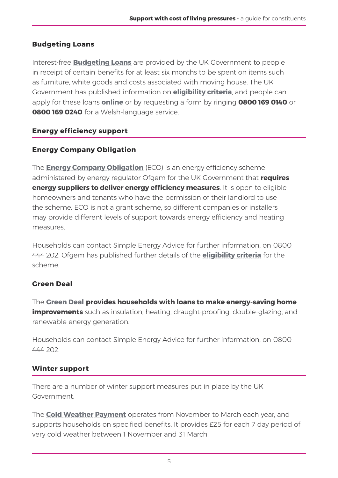# <span id="page-9-0"></span>**Budgeting Loans**

Interest-free **[Budgeting Loans](https://www.gov.uk/budgeting-help-benefits)** are provided by the UK Government to people in receipt of certain benefits for at least six months to be spent on items such as furniture, white goods and costs associated with moving house. The UK Government has published information on **[eligibility criteria](https://www.gov.uk/budgeting-help-benefits/eligibility)**, and people can apply for these loans **[online](https://www.gov.uk/budgeting-help-benefits/how-to-apply)** or by requesting a form by ringing **0800 169 0140** or **0800 169 0240** for a Welsh-language service.

# **Energy efficiency support**

# **Energy Company Obligation**

The **[Energy Company Obligation](https://www.ofgem.gov.uk/environmental-and-social-schemes/energy-company-obligation-eco/energy-company-obligation-eco-support-improving-your-home)** (ECO) is an energy efficiency scheme administered by energy regulator Ofgem for the UK Government that **requires energy suppliers to deliver energy efficiency measures**. It is open to eligible homeowners and tenants who have the permission of their landlord to use the scheme. ECO is not a grant scheme, so different companies or installers may provide different levels of support towards energy efficiency and heating measures.

Households can contact Simple Energy Advice for further information, on 0800 444 202. Ofgem has published further details of the **[eligibility criteria](https://www.ofgem.gov.uk/environmental-and-social-schemes/energy-company-obligation-eco/support-improving-your-home/faqs-domestic-consumers-and-landlords)** for the scheme.

# **Green Deal**

The **[Green Deal](https://www.gov.uk/green-deal-energy-saving-measures) provides households with loans to make energy-saving home improvements** such as insulation; heating; draught-proofing; double-glazing; and renewable energy generation.

Households can contact Simple Energy Advice for further information, on 0800 444 202.

# **Winter support**

There are a number of winter support measures put in place by the UK Government.

The **[Cold Weather Payment](https://www.gov.uk/cold-weather-payment)** operates from November to March each year, and supports households on specified benefits. It provides £25 for each 7 day period of very cold weather between 1 November and 31 March.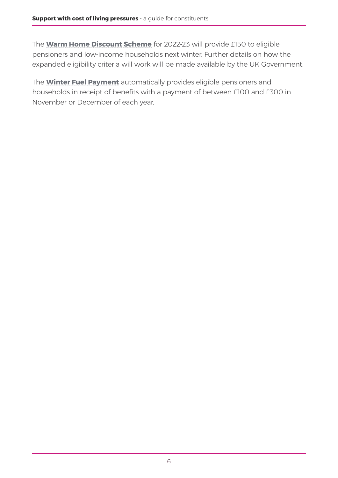The **[Warm Home Discount Scheme](https://assets.publishing.service.gov.uk/government/uploads/system/uploads/attachment_data/file/1065684/Warm_Home_Discount_Better_targeted_support_from_2022_Government_response.pdf)** for 2022-23 will provide £150 to eligible pensioners and low-income households next winter. Further details on how the expanded eligibility criteria will work will be made available by the UK Government.

The **[Winter Fuel Payment](https://www.gov.uk/winter-fuel-payment)** automatically provides eligible pensioners and households in receipt of benefits with a payment of between £100 and £300 in November or December of each year.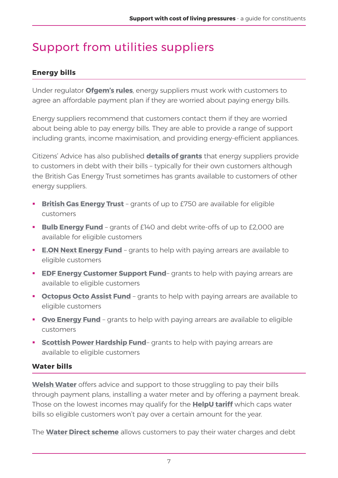# <span id="page-11-0"></span>Support from utilities suppliers

# **Energy bills**

Under regulator **[Ofgem's rules](https://www.ofgem.gov.uk/information-consumers/energy-advice-households/getting-help-if-you-cant-afford-your-energy-bills)**, energy suppliers must work with customers to agree an affordable payment plan if they are worried about paying energy bills.

Energy suppliers recommend that customers contact them if they are worried about being able to pay energy bills. They are able to provide a range of support including grants, income maximisation, and providing energy-efficient appliances.

Citizens' Advice has also published **details of grants** that energy suppliers provide to customers in debt with their bills – typically for their own customers although the British Gas Energy Trust sometimes has grants available to customers of other energy suppliers.

- **[British Gas Energy Trust](https://britishgasenergytrust.org.uk/grants-available/)** grants of up to £750 are available for eligible customers
- **[Bulb Energy Fund](https://help.bulb.co.uk/hc/en-us/articles/360044896191-About-Bulb-s-Energy-Fund)** grants of £140 and debt write-offs of up to £2,000 are available for eligible customers
- **[E.ON Next Energy Fund](https://www.eonnextenergyfund.com/)** grants to help with paying arrears are available to eligible customers
- **EDF Energy Customer Support Fund** grants to help with paying arrears are available to eligible customers
- **Cctopus Octo Assist Fund** grants to help with paying arrears are available to eligible customers
- **[Ovo Energy Fund](https://www.ovoenergy.com/help/debt-and-energy-assistance)** grants to help with paying arrears are available to eligible customers
- **[Scottish Power Hardship Fund](https://community.scottishpower.co.uk/t5/Extra-Help/Hardship-Fund/ta-p/53)** grants to help with paying arrears are available to eligible customers

#### **Water bills**

**[Welsh Water](https://www.dwrcymru.com/en/support-with-bills)** offers advice and support to those struggling to pay their bills through payment plans, installing a water meter and by offering a payment break. Those on the lowest incomes may qualify for the **[HelpU tariff](https://www.dwrcymru.com/en/support-with-bills/helpu-tariff)** which caps water bills so eligible customers won't pay over a certain amount for the year.

The **[Water Direct scheme](https://www.dwrcymru.com/en/support-with-bills/water-direct-scheme)** allows customers to pay their water charges and debt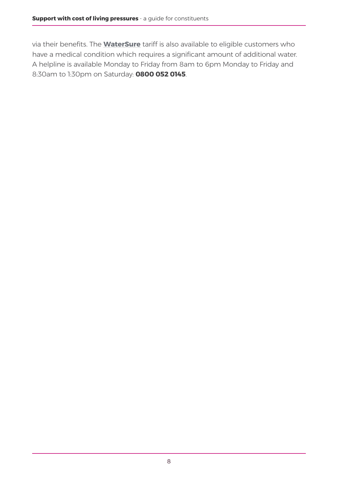via their benefits. The **[WaterSure](https://www.dwrcymru.com/en/support-with-bills/watersure-tariff)** tariff is also available to eligible customers who have a medical condition which requires a significant amount of additional water. A helpline is available Monday to Friday from 8am to 6pm Monday to Friday and 8:30am to 1:30pm on Saturday: **0800 052 0145**.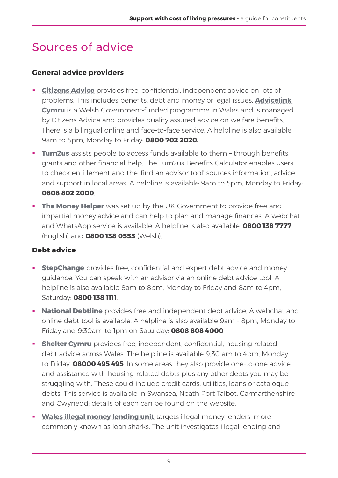# <span id="page-13-0"></span>Sources of advice

#### **General advice providers**

- **[Citizens Advice](https://www.citizensadvice.org.uk/wales/)** provides free, confidential, independent advice on lots of problems. This includes benefits, debt and money or legal issues. **[Advicelink](https://www.citizensadvice.org.uk/about-us/our-work/advice-partnerships/advicelink-cymru/)  [Cymru](https://www.citizensadvice.org.uk/about-us/our-work/advice-partnerships/advicelink-cymru/)** is a Welsh Government-funded programme in Wales and is managed by Citizens Advice and provides quality assured advice on welfare benefits. There is a bilingual online and face-to-face service. A helpline is also available 9am to 5pm, Monday to Friday: **0800 702 2020.**
- **[Turn2us](https://www.turn2us.org.uk/)** assists people to access funds available to them through benefits, grants and other financial help. The Turn2us Benefits Calculator enables users to check entitlement and the 'find an advisor tool' sources information, advice and support in local areas. A helpline is available 9am to 5pm, Monday to Friday: **0808 802 2000**.
- **[The Money Helper](https://www.moneyhelper.org.uk/en?source=mas)** was set up by the UK Government to provide free and impartial money advice and can help to plan and manage finances. A webchat and WhatsApp service is available. A helpline is also available: **0800 138 7777** (English) and **0800 138 0555** (Welsh).

#### **Debt advice**

- **[StepChange](https://www.stepchange.org/)** provides free, confidential and expert [debt advice](https://www.stepchange.org/how-we-help/debt-advice.aspx) and money guidance. You can speak with an advisor via an online debt advice tool. A helpline is also available 8am to 8pm, Monday to Friday and 8am to 4pm, Saturday: **[0800 138 1111](tel:+448001381111)**.
- **[National Debtline](https://www.nationaldebtline.org/)** provides free and independent debt advice. A webchat and online debt tool is available. A helpline is also available 9am - 8pm, Monday to Friday and 9:30am to 1pm on Saturday: **0808 808 4000**.
- **Shelter Cymru** provides free, independent, confidential, housing-related debt advice across Wales. The helpline is available 9.30 am to 4pm, Monday to Friday: **[08000 495 495](tel:08000495495)**. In some areas they also provide one-to-one advice and assistance with housing-related debts plus any other debts you may be struggling with. These could include credit cards, utilities, loans or catalogue debts. This service is available in Swansea, Neath Port Talbot, Carmarthenshire and Gwynedd: details of each can be found on the website.
- **[Wales illegal money lending unit](https://www.srs.wales/en/Wales-Illegal-Money-Lending-Unit/Wales-Illegal-Money-Lending-Unit-WIMLU.aspx)** targets illegal money lenders, more commonly known as loan sharks. The unit investigates illegal lending and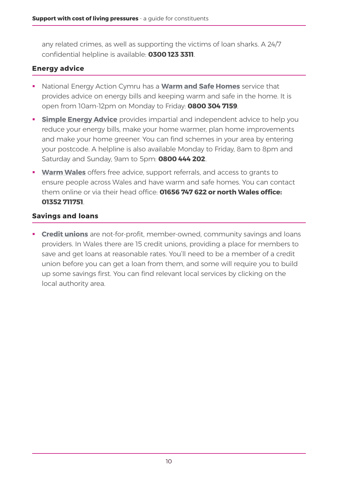<span id="page-14-0"></span>any related crimes, as well as supporting the victims of loan sharks. A 24/7 confidential helpline is available: **0300 123 3311**.

#### **Energy advice**

- National Energy Action Cymru has a **[Warm and Safe Homes](https://www.nea.org.uk/wash-advice/)** service that provides advice on energy bills and keeping warm and safe in the home. It is open from 10am-12pm on Monday to Friday: **0800 304 7159**.
- **[Simple Energy Advice](https://www.simpleenergyadvice.org.uk/energy-efficiency/reduce-bills)** provides impartial and independent advice to help you reduce your energy bills, make your home warmer, plan home improvements and make your home greener. You can find schemes in your area by entering your postcode. A helpline is also available Monday to Friday, 8am to 8pm and Saturday and Sunday, 9am to 5pm: **0800 444 202**.
- **[Warm Wales](https://www.warmwales.org.uk/)** offers free advice, support referrals, and access to grants to ensure people across Wales and have warm and safe homes. You can contact them online or via their head office: **01656 747 622 or north Wales office: 01352 711751**.

#### **Savings and loans**

**[Credit unions](https://creditunionsofwales.co.uk/)** are not-for-profit, member-owned, community savings and loans providers. In Wales there are 15 credit unions, providing a place for members to save and get loans at reasonable rates. You'll need to be a member of a credit union before you can get a loan from them, and some will require you to build up some savings first. You can find relevant local services by clicking on the local authority area.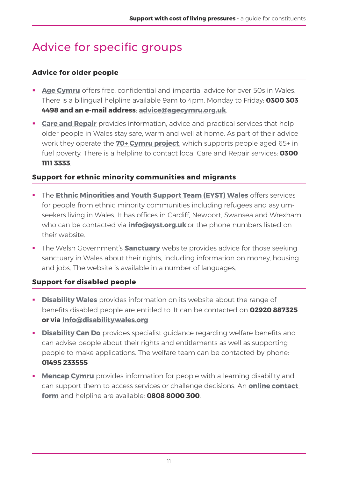# <span id="page-15-0"></span>Advice for specific groups

### **Advice for older people**

- **[Age Cymru](https://www.ageuk.org.uk/cymru/information-advice/)** offers free, confidential and impartial advice for over 50s in Wales. There is a bilingual helpline available 9am to 4pm, Monday to Friday: **0300 303 4498 and an e-mail address**: **[advice@agecymru.org.uk](mailto:advice@agecymru.org.uk)**.
- **[Care and Repair](http://www.careandrepair.org.uk/)** provides information, advice and practical services that help older people in Wales stay safe, warm and well at home. As part of their advice work they operate the **[70+ Cymru project](https://www.careandrepair.org.uk/en/projects/70-cymru/)**, which supports people aged 65+ in fuel poverty. There is a helpline to contact local Care and Repair services: **0300 1111 3333**.

### **Support for ethnic minority communities and migrants**

- **The [Ethnic Minorities and Youth Support Team \(EYST\) Wales](http://eyst.org.uk/)** offers services for people from ethnic minority communities including refugees and asylumseekers living in Wales. It has offices in Cardiff, Newport, Swansea and Wrexham who can be contacted via **[info@eyst.org.uk](mailto:info@eyst.org.uk)**.or the phone numbers listed on their website.
- **The Welsh Government's <b>[Sanctuary](https://sanctuary.gov.wales/)** website provides advice for those seeking sanctuary in Wales about their rights, including information on money, housing and jobs. The website is available in a number of languages.

# **Support for disabled people**

- **[Disability Wales](https://www.disabilitywales.org/information-and-advice/benefits/)** provides information on its website about the range of benefits disabled people are entitled to. It can be contacted on **02920 887325 or via [Info@disabilitywales.org](mailto:Info@disabilitywales.org)**
- **[Disability Can Do](https://www.disabilitycando.org.uk/welfare-and-wellbeing)** provides specialist guidance regarding welfare benefits and can advise people about their rights and entitlements as well as supporting people to make applications. The welfare team can be contacted by phone: **01495 233555**
- **[Mencap Cymru](https://wales.mencap.org.uk/)** provides information for people with a learning disability and can support them to access services or challenge decisions. An **[online contact](https://www.mencap.org.uk/contact/contact_mencap_wise?_ga=2.170334176.1518660690.1650541278-1573368234.1650541278)  [form](https://www.mencap.org.uk/contact/contact_mencap_wise?_ga=2.170334176.1518660690.1650541278-1573368234.1650541278)** and helpline are available: **0808 8000 300**.